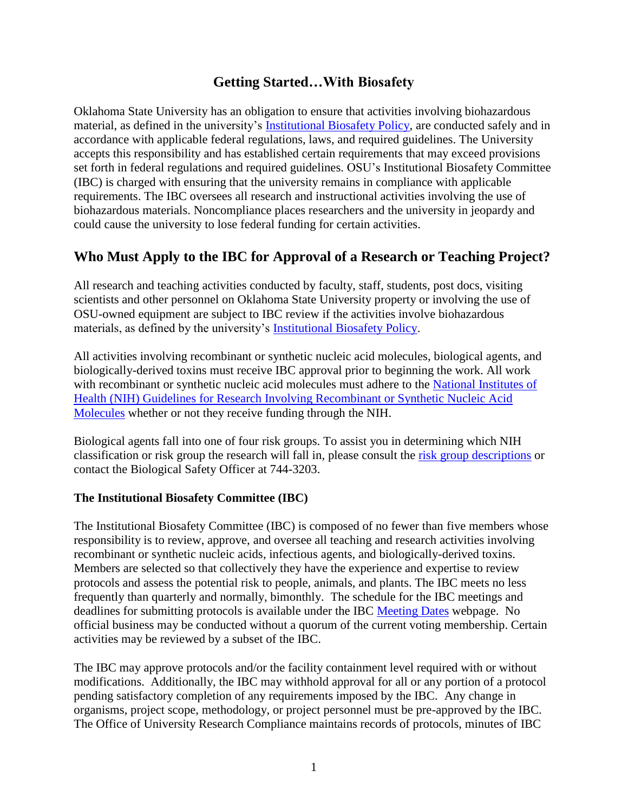## **Getting Started…With Biosafety**

Oklahoma State University has an obligation to ensure that activities involving biohazardous material, as defined in the university's [Institutional Biosafety Policy,](https://stw.sp.okstate.edu/policies/Shared%20Documents/Institutional%20Biosafety%20Policy.pdf) are conducted safely and in accordance with applicable federal regulations, laws, and required guidelines. The University accepts this responsibility and has established certain requirements that may exceed provisions set forth in federal regulations and required guidelines. OSU's Institutional Biosafety Committee (IBC) is charged with ensuring that the university remains in compliance with applicable requirements. The IBC oversees all research and instructional activities involving the use of biohazardous materials. Noncompliance places researchers and the university in jeopardy and could cause the university to lose federal funding for certain activities.

# **Who Must Apply to the IBC for Approval of a Research or Teaching Project?**

All research and teaching activities conducted by faculty, staff, students, post docs, visiting scientists and other personnel on Oklahoma State University property or involving the use of OSU-owned equipment are subject to IBC review if the activities involve biohazardous materials, as defined by the university's [Institutional Biosafety Policy.](https://stw.sp.okstate.edu/policies/Shared%20Documents/Institutional%20Biosafety%20Policy.pdf)

All activities involving recombinant or synthetic nucleic acid molecules, biological agents, and biologically-derived toxins must receive IBC approval prior to beginning the work. All work with recombinant or synthetic nucleic acid molecules must adhere to the National Institutes of Health (NIH) [Guidelines for Research Involving Recombinant or Synthetic Nucleic Acid](http://osp.od.nih.gov/office-biotechnology-activities/biosafety/nih-guidelines) [Molecules](http://osp.od.nih.gov/office-biotechnology-activities/biosafety/nih-guidelines) whether or not they receive funding through the NIH.

Biological agents fall into one of four risk groups. To assist you in determining which NIH classification or risk group the research will fall in, please consult the [risk group descriptions](https://compliance.okstate.edu/sites/default/files/ibc_docs/NIH%20Guidelines%20Summary.pdf) or contact the Biological Safety Officer at 744-3203.

### **The Institutional Biosafety Committee (IBC)**

The Institutional Biosafety Committee (IBC) is composed of no fewer than five members whose responsibility is to review, approve, and oversee all teaching and research activities involving recombinant or synthetic nucleic acids, infectious agents, and biologically-derived toxins. Members are selected so that collectively they have the experience and expertise to review protocols and assess the potential risk to people, animals, and plants. The IBC meets no less frequently than quarterly and normally, bimonthly. The schedule for the IBC meetings and deadlines for submitting protocols is available under the IBC [Meeting Dates](http://compliance.okstate.edu/ibc/ibc-meeting-dates) webpage. No official business may be conducted without a quorum of the current voting membership. Certain activities may be reviewed by a subset of the IBC.

The IBC may approve protocols and/or the facility containment level required with or without modifications. Additionally, the IBC may withhold approval for all or any portion of a protocol pending satisfactory completion of any requirements imposed by the IBC. Any change in organisms, project scope, methodology, or project personnel must be pre-approved by the IBC. The Office of University Research Compliance maintains records of protocols, minutes of IBC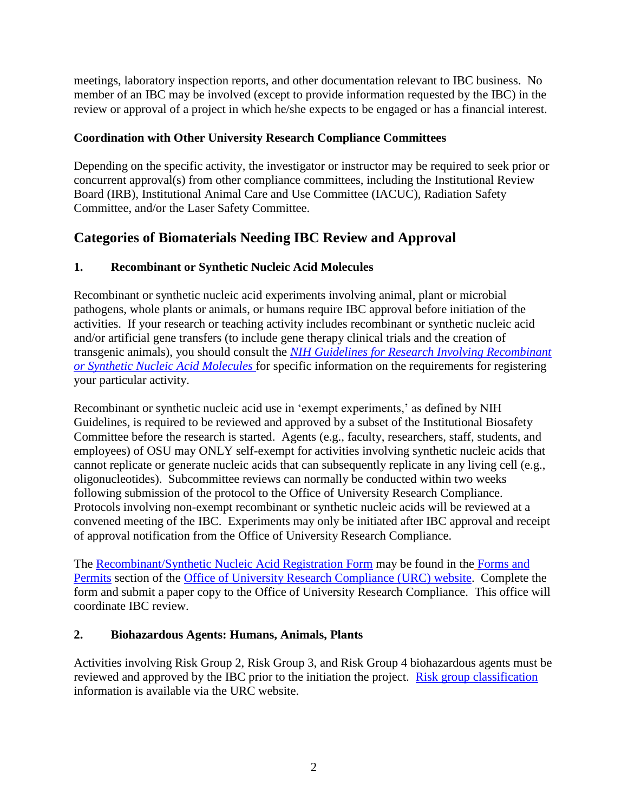meetings, laboratory inspection reports, and other documentation relevant to IBC business. No member of an IBC may be involved (except to provide information requested by the IBC) in the review or approval of a project in which he/she expects to be engaged or has a financial interest.

## **Coordination with Other University Research Compliance Committees**

Depending on the specific activity, the investigator or instructor may be required to seek prior or concurrent approval(s) from other compliance committees, including the Institutional Review Board (IRB), Institutional Animal Care and Use Committee (IACUC), Radiation Safety Committee, and/or the Laser Safety Committee.

# **Categories of Biomaterials Needing IBC Review and Approval**

## **1. Recombinant or Synthetic Nucleic Acid Molecules**

Recombinant or synthetic nucleic acid experiments involving animal, plant or microbial pathogens, whole plants or animals, or humans require IBC approval before initiation of the activities. If your research or teaching activity includes recombinant or synthetic nucleic acid and/or artificial gene transfers (to include gene therapy clinical trials and the creation of transgenic animals), you should consult the *[NIH Guidelines for Research Involving Recombinant](http://osp.od.nih.gov/office-biotechnology-activities/biosafety/nih-guidelines)  [or Synthetic Nucleic Acid Molecules](http://osp.od.nih.gov/office-biotechnology-activities/biosafety/nih-guidelines)* for specific information on the requirements for registering your particular activity.

Recombinant or synthetic nucleic acid use in 'exempt experiments,' as defined by NIH Guidelines, is required to be reviewed and approved by a subset of the Institutional Biosafety Committee before the research is started. Agents (e.g., faculty, researchers, staff, students, and employees) of OSU may ONLY self-exempt for activities involving synthetic nucleic acids that cannot replicate or generate nucleic acids that can subsequently replicate in any living cell (e.g., oligonucleotides). Subcommittee reviews can normally be conducted within two weeks following submission of the protocol to the Office of University Research Compliance. Protocols involving non-exempt recombinant or synthetic nucleic acids will be reviewed at a convened meeting of the IBC. Experiments may only be initiated after IBC approval and receipt of approval notification from the Office of University Research Compliance.

The [Recombinant/Synthetic Nucleic Acid Registration Form](http://compliance.okstate.edu/ibc/forms) may be found in the [Forms and](http://compliance.okstate.edu/ibc/forms)  [Permits](http://compliance.okstate.edu/ibc/forms) section of the [Office of University Research Compliance \(URC\) website.](http://compliance.okstate.edu/) Complete the form and submit a paper copy to the Office of University Research Compliance. This office will coordinate IBC review.

## **2. Biohazardous Agents: Humans, Animals, Plants**

Activities involving Risk Group 2, Risk Group 3, and Risk Group 4 biohazardous agents must be reviewed and approved by the IBC prior to the initiation the project. [Risk group classification](https://compliance.okstate.edu/sites/default/files/ibc_docs/NIH%20Guidelines%20Summary.pdf) information is available via the URC website.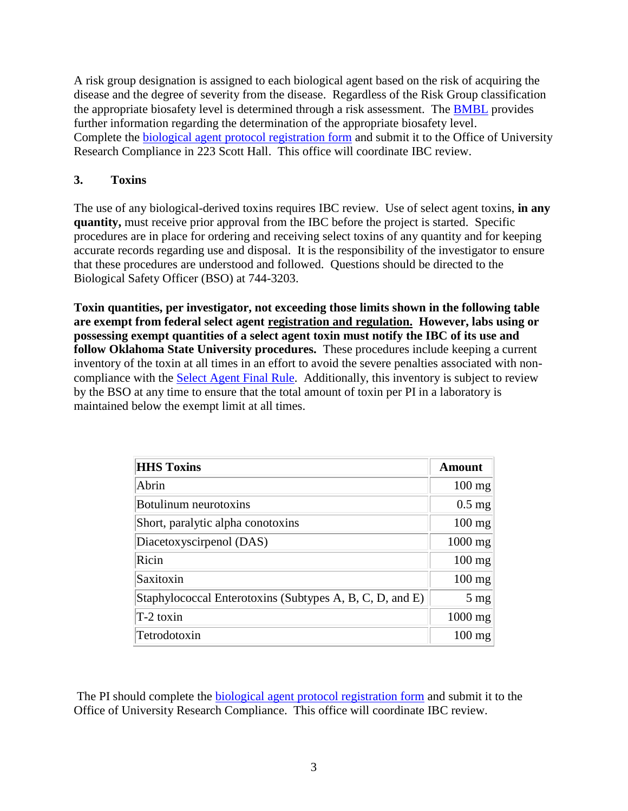A risk group designation is assigned to each biological agent based on the risk of acquiring the disease and the degree of severity from the disease. Regardless of the Risk Group classification the appropriate biosafety level is determined through a risk assessment. The [BMBL](http://www.cdc.gov/biosafety/publications/bmbl5/BMBL.pdf) provides further information regarding the determination of the appropriate biosafety level. Complete the [biological agent protocol registration form](http://compliance.okstate.edu/ibc/forms) and submit it to the Office of University Research Compliance in 223 Scott Hall. This office will coordinate IBC review.

### **3. Toxins**

The use of any biological-derived toxins requires IBC review. Use of select agent toxins, **in any quantity,** must receive prior approval from the IBC before the project is started. Specific procedures are in place for ordering and receiving select toxins of any quantity and for keeping accurate records regarding use and disposal. It is the responsibility of the investigator to ensure that these procedures are understood and followed. Questions should be directed to the Biological Safety Officer (BSO) at 744-3203.

**Toxin quantities, per investigator, not exceeding those limits shown in the following table are exempt from federal select agent registration and regulation. However, labs using or possessing exempt quantities of a select agent toxin must notify the IBC of its use and follow Oklahoma State University procedures.** These procedures include keeping a current inventory of the toxin at all times in an effort to avoid the severe penalties associated with noncompliance with the [Select Agent Final Rule.](http://www.ecfr.gov/cgi-bin/retrieveECFR?gp=&SID=8a4be60456973b5ec6bef5dfeaffd49a&r=PART&n=42y1.0.1.6.61) Additionally, this inventory is subject to review by the BSO at any time to ensure that the total amount of toxin per PI in a laboratory is maintained below the exempt limit at all times.

| <b>HHS Toxins</b>                                        | Amount         |
|----------------------------------------------------------|----------------|
| Abrin                                                    | $100$ mg       |
| Botulinum neurotoxins                                    | $0.5$ mg       |
| Short, paralytic alpha conotoxins                        | $100$ mg       |
| Diacetoxyscirpenol (DAS)                                 | 1000 mg        |
| Ricin                                                    | $100$ mg       |
| Saxitoxin                                                | $100$ mg       |
| Staphylococcal Enterotoxins (Subtypes A, B, C, D, and E) | $5 \text{ mg}$ |
| $T-2$ toxin                                              | $1000$ mg      |
| Tetrodotoxin                                             | $100$ mg       |
|                                                          |                |

The PI should complete the [biological agent protocol registration form](http://compliance.okstate.edu/ibc/forms) and submit it to the Office of University Research Compliance. This office will coordinate IBC review.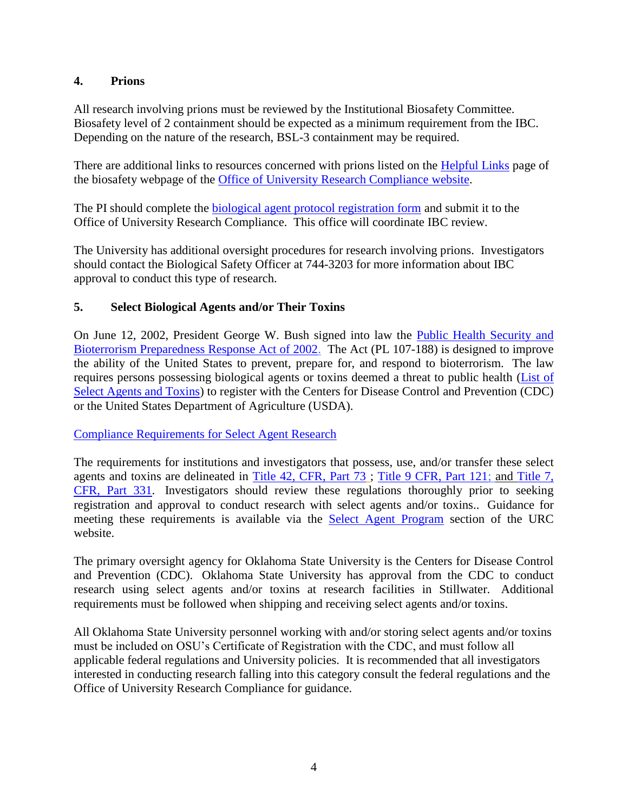### **4. Prions**

All research involving prions must be reviewed by the Institutional Biosafety Committee. Biosafety level of 2 containment should be expected as a minimum requirement from the IBC. Depending on the nature of the research, BSL-3 containment may be required.

There are additional links to resources concerned with prions listed on the [Helpful Links](http://compliance.okstate.edu/ibc/helpful-links) page of the biosafety webpage of the [Office of University Research Compliance](http://compliance.okstate.edu/) website.

The PI should complete the [biological agent protocol registration form](http://compliance.vpr.okstate.edu/IBC/forms.aspx) and submit it to the Office of University Research Compliance. This office will coordinate IBC review.

The University has additional oversight procedures for research involving prions. Investigators should contact the Biological Safety Officer at 744-3203 for more information about IBC approval to conduct this type of research.

### **5. Select Biological Agents and/or Their Toxins**

On June 12, 2002, President George W. Bush signed into law the [Public Health Security and](http://www.ecfr.gov/cgi-bin/retrieveECFR?gp=&SID=8a4be60456973b5ec6bef5dfeaffd49a&r=PART&n=42y1.0.1.6.61)  [Bioterrorism Preparedness Response Act of 2002.](http://www.ecfr.gov/cgi-bin/retrieveECFR?gp=&SID=8a4be60456973b5ec6bef5dfeaffd49a&r=PART&n=42y1.0.1.6.61) The Act (PL 107-188) is designed to improve the ability of the United States to prevent, prepare for, and respond to bioterrorism. The law requires persons possessing biological agents or toxins deemed a threat to public health [\(List of](http://www.selectagents.gov/SelectAgentsandToxinsList.html)  [Select Agents and Toxins\)](http://www.selectagents.gov/SelectAgentsandToxinsList.html) to register with the Centers for Disease Control and Prevention (CDC) or the United States Department of Agriculture (USDA).

[Compliance Requirements for Select Agent Research](http://compliance.okstate.edu/ibc/select-agent-program)

The requirements for institutions and investigators that possess, use, and/or transfer these select agents and toxins are delineated in [Title 42, CFR, Part 73](http://www.ecfr.gov/cgi-bin/retrieveECFR?gp=&SID=8a4be60456973b5ec6bef5dfeaffd49a&r=PART&n=42y1.0.1.6.61) ; [Title 9 CFR, Part 121;](http://www.ecfr.gov/cgi-bin/retrieveECFR?gp=1&SID=b9126e9fba23e3e7933354a1d2630d72&ty=HTML&h=L&n=9y1.0.1.5.58&r=PART) and [Title 7,](http://www.ecfr.gov/cgi-bin/retrieveECFR?gp=1&SID=b9126e9fba23e3e7933354a1d2630d72&ty=HTML&h=L&n=7y5.1.1.1.9&r=PART)  [CFR, Part](http://www.ecfr.gov/cgi-bin/retrieveECFR?gp=1&SID=b9126e9fba23e3e7933354a1d2630d72&ty=HTML&h=L&n=7y5.1.1.1.9&r=PART) 331. Investigators should review these regulations thoroughly prior to seeking registration and approval to conduct research with select agents and/or toxins.. Guidance for meeting these requirements is available via the [Select Agent Program](http://compliance.okstate.edu/ibc/select-agent-program) section of the URC website.

The primary oversight agency for Oklahoma State University is the Centers for Disease Control and Prevention (CDC). Oklahoma State University has approval from the CDC to conduct research using select agents and/or toxins at research facilities in Stillwater. Additional requirements must be followed when shipping and receiving select agents and/or toxins.

All Oklahoma State University personnel working with and/or storing select agents and/or toxins must be included on OSU's Certificate of Registration with the CDC, and must follow all applicable federal regulations and University policies. It is recommended that all investigators interested in conducting research falling into this category consult the federal regulations and the Office of University Research Compliance for guidance.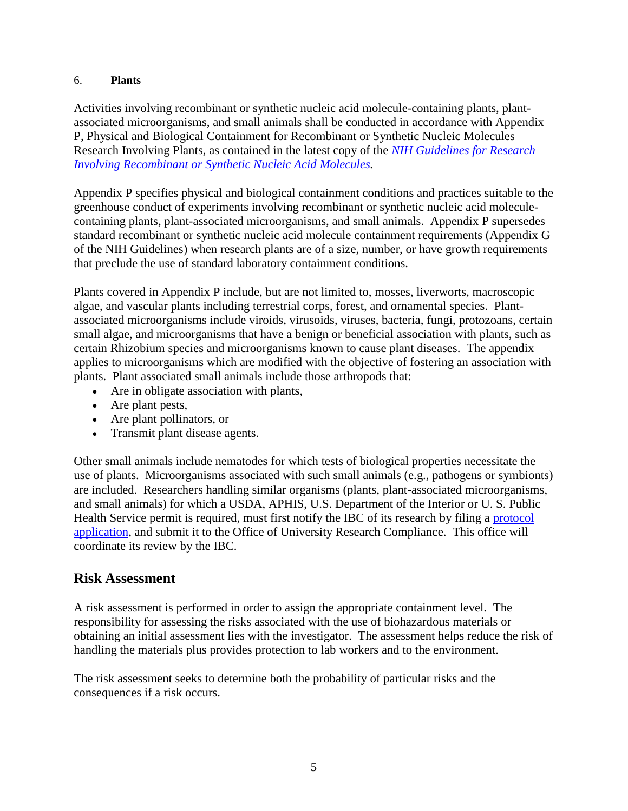#### 6. **Plants**

Activities involving recombinant or synthetic nucleic acid molecule-containing plants, plantassociated microorganisms, and small animals shall be conducted in accordance with Appendix P, Physical and Biological Containment for Recombinant or Synthetic Nucleic Molecules Research Involving Plants, as contained in the latest copy of the *[NIH Guidelines for Research](http://osp.od.nih.gov/office-biotechnology-activities/biosafety/nih-guidelines)  [Involving Recombinant or Synthetic Nucleic Acid](http://osp.od.nih.gov/office-biotechnology-activities/biosafety/nih-guidelines) Molecules.*

Appendix P specifies physical and biological containment conditions and practices suitable to the greenhouse conduct of experiments involving recombinant or synthetic nucleic acid moleculecontaining plants, plant-associated microorganisms, and small animals. Appendix P supersedes standard recombinant or synthetic nucleic acid molecule containment requirements (Appendix G of the NIH Guidelines) when research plants are of a size, number, or have growth requirements that preclude the use of standard laboratory containment conditions.

Plants covered in Appendix P include, but are not limited to, mosses, liverworts, macroscopic algae, and vascular plants including terrestrial corps, forest, and ornamental species. Plantassociated microorganisms include viroids, virusoids, viruses, bacteria, fungi, protozoans, certain small algae, and microorganisms that have a benign or beneficial association with plants, such as certain Rhizobium species and microorganisms known to cause plant diseases. The appendix applies to microorganisms which are modified with the objective of fostering an association with plants. Plant associated small animals include those arthropods that:

- Are in obligate association with plants,
- Are plant pests,
- Are plant pollinators, or
- Transmit plant disease agents.

Other small animals include nematodes for which tests of biological properties necessitate the use of plants. Microorganisms associated with such small animals (e.g., pathogens or symbionts) are included. Researchers handling similar organisms (plants, plant-associated microorganisms, and small animals) for which a USDA, APHIS, U.S. Department of the Interior or U. S. Public Health Service permit is required, must first notify the IBC of its research by filing a [protocol](http://compliance.okstate.edu/ibc/forms)  [application,](http://compliance.okstate.edu/ibc/forms) and submit it to the Office of University Research Compliance. This office will coordinate its review by the IBC.

### **Risk Assessment**

A risk assessment is performed in order to assign the appropriate containment level. The responsibility for assessing the risks associated with the use of biohazardous materials or obtaining an initial assessment lies with the investigator. The assessment helps reduce the risk of handling the materials plus provides protection to lab workers and to the environment.

The risk assessment seeks to determine both the probability of particular risks and the consequences if a risk occurs.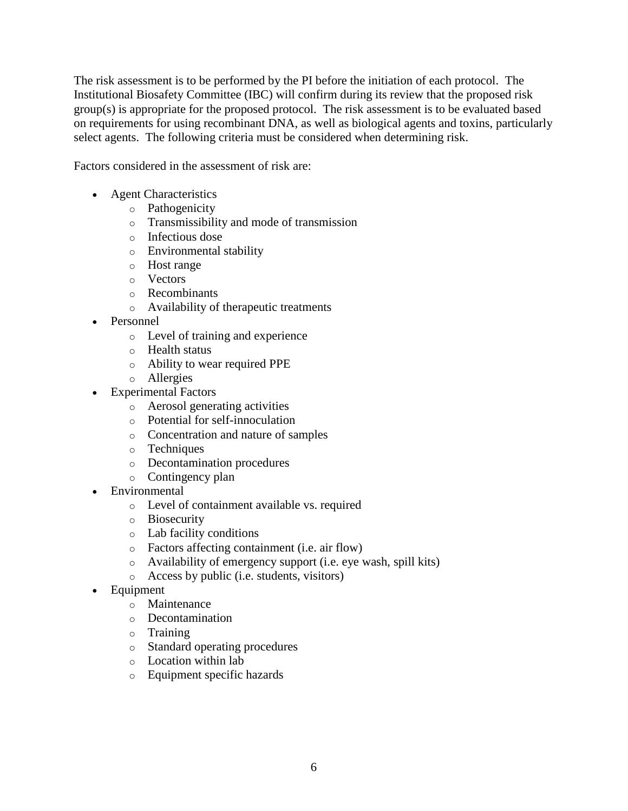The risk assessment is to be performed by the PI before the initiation of each protocol. The Institutional Biosafety Committee (IBC) will confirm during its review that the proposed risk group(s) is appropriate for the proposed protocol. The risk assessment is to be evaluated based on requirements for using recombinant DNA, as well as biological agents and toxins, particularly select agents. The following criteria must be considered when determining risk.

Factors considered in the assessment of risk are:

- Agent Characteristics
	- o Pathogenicity
	- o Transmissibility and mode of transmission
	- o Infectious dose
	- o Environmental stability
	- o Host range
	- o Vectors
	- o Recombinants
	- o Availability of therapeutic treatments
- Personnel
	- o Level of training and experience
	- o Health status
	- o Ability to wear required PPE
	- o Allergies
- Experimental Factors
	- o Aerosol generating activities
	- o Potential for self-innoculation
	- o Concentration and nature of samples
	- o Techniques
	- o Decontamination procedures
	- o Contingency plan
- Environmental
	- o Level of containment available vs. required
	- o Biosecurity
	- o Lab facility conditions
	- o Factors affecting containment (i.e. air flow)
	- o Availability of emergency support (i.e. eye wash, spill kits)
	- o Access by public (i.e. students, visitors)
- Equipment
	- o Maintenance
	- o Decontamination
	- o Training
	- o Standard operating procedures
	- o Location within lab
	- o Equipment specific hazards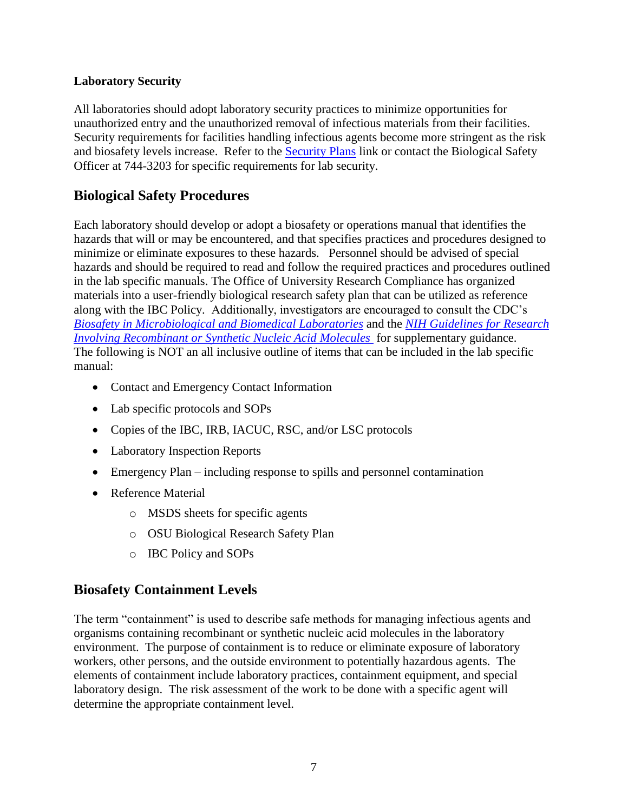### **Laboratory Security**

All laboratories should adopt laboratory security practices to minimize opportunities for unauthorized entry and the unauthorized removal of infectious materials from their facilities. Security requirements for facilities handling infectious agents become more stringent as the risk and biosafety levels increase. Refer to the [Security Plans](http://compliance.okstate.edu/ibc/security-plans) link or contact the Biological Safety Officer at 744-3203 for specific requirements for lab security.

# **Biological Safety Procedures**

Each laboratory should develop or adopt a biosafety or operations manual that identifies the hazards that will or may be encountered, and that specifies practices and procedures designed to minimize or eliminate exposures to these hazards. Personnel should be advised of special hazards and should be required to read and follow the required practices and procedures outlined in the lab specific manuals. The Office of University Research Compliance has organized materials into a user-friendly biological research safety plan that can be utilized as reference along with the IBC Policy. Additionally, investigators are encouraged to consult the CDC's *[Biosafety in Microbiological and Biomedical Laboratories](http://www.cdc.gov/biosafety/publications/bmbl5/BMBL.pdf)* and the *[NIH Guidelines for Research](http://osp.od.nih.gov/office-biotechnology-activities/biosafety/nih-guidelines)  [Involving Recombinant or Synthetic Nucleic Acid](http://osp.od.nih.gov/office-biotechnology-activities/biosafety/nih-guidelines) Molecules* for supplementary guidance. The following is NOT an all inclusive outline of items that can be included in the lab specific manual:

- Contact and Emergency Contact Information
- Lab specific protocols and SOPs
- Copies of the IBC, IRB, IACUC, RSC, and/or LSC protocols
- Laboratory Inspection Reports
- Emergency Plan including response to spills and personnel contamination
- Reference Material
	- o MSDS sheets for specific agents
	- o OSU Biological Research Safety Plan
	- o IBC Policy and SOPs

## **Biosafety Containment Levels**

The term "containment" is used to describe safe methods for managing infectious agents and organisms containing recombinant or synthetic nucleic acid molecules in the laboratory environment. The purpose of containment is to reduce or eliminate exposure of laboratory workers, other persons, and the outside environment to potentially hazardous agents. The elements of containment include laboratory practices, containment equipment, and special laboratory design. The risk assessment of the work to be done with a specific agent will determine the appropriate containment level.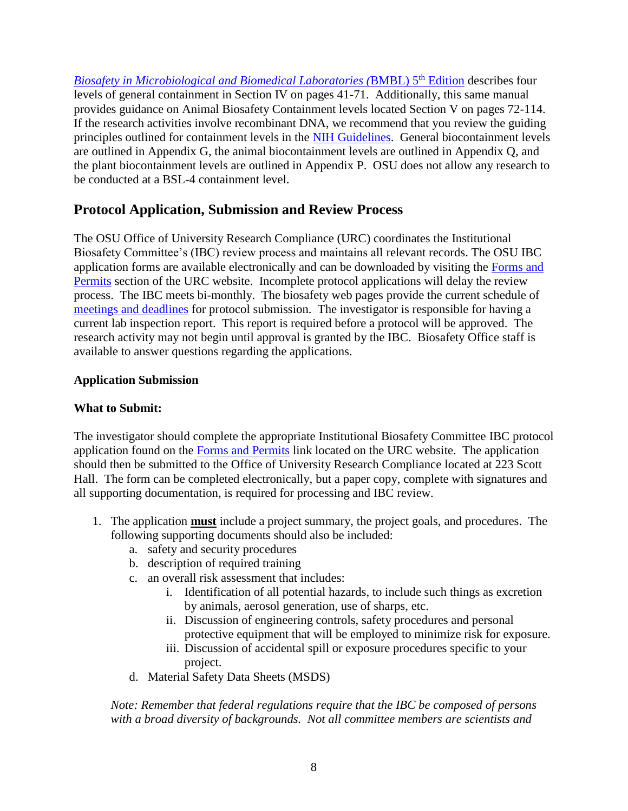*[Biosafety in Microbiological and Biomedical Laboratories \(](http://www.cdc.gov/biosafety/publications/bmbl5/BMBL.pdf)*BMBL) 5 th Edition describes four levels of general containment in Section IV on pages 41-71. Additionally, this same manual provides guidance on Animal Biosafety Containment levels located Section V on pages 72-114. If the research activities involve recombinant DNA, we recommend that you review the guiding principles outlined for containment levels in the [NIH Guidelines.](http://osp.od.nih.gov/office-biotechnology-activities/biosafety/nih-guidelines) General biocontainment levels are outlined in Appendix G, the animal biocontainment levels are outlined in Appendix Q, and the plant biocontainment levels are outlined in Appendix P. OSU does not allow any research to be conducted at a BSL-4 containment level.

## **Protocol Application, Submission and Review Process**

The OSU Office of University Research Compliance (URC) coordinates the Institutional Biosafety Committee's (IBC) review process and maintains all relevant records. The OSU IBC application forms are available electronically and can be downloaded by visiting the [Forms and](http://compliance.okstate.edu/ibc/forms)  [Permits](http://compliance.okstate.edu/ibc/forms) section of the URC website. Incomplete protocol applications will delay the review process. The IBC meets bi-monthly. The biosafety web pages provide the current schedule of [meetings and deadlines](http://compliance.okstate.edu/ibc/ibc-meeting-dates) for protocol submission. The investigator is responsible for having a current lab inspection report. This report is required before a protocol will be approved. The research activity may not begin until approval is granted by the IBC. Biosafety Office staff is available to answer questions regarding the applications.

### **Application Submission**

### **What to Submit:**

The investigator should complete the appropriate Institutional Biosafety Committee IBC protocol application found on the [Forms and Permits](http://compliance.okstate.edu/ibc/forms) link located on the URC website. The application should then be submitted to the Office of University Research Compliance located at 223 Scott Hall. The form can be completed electronically, but a paper copy, complete with signatures and all supporting documentation, is required for processing and IBC review.

- 1. The application **must** include a project summary, the project goals, and procedures. The following supporting documents should also be included:
	- a. safety and security procedures
	- b. description of required training
	- c. an overall risk assessment that includes:
		- i. Identification of all potential hazards, to include such things as excretion by animals, aerosol generation, use of sharps, etc.
		- ii. Discussion of engineering controls, safety procedures and personal protective equipment that will be employed to minimize risk for exposure.
		- iii. Discussion of accidental spill or exposure procedures specific to your project.
	- d. Material Safety Data Sheets (MSDS)

*Note: Remember that federal regulations require that the IBC be composed of persons with a broad diversity of backgrounds. Not all committee members are scientists and*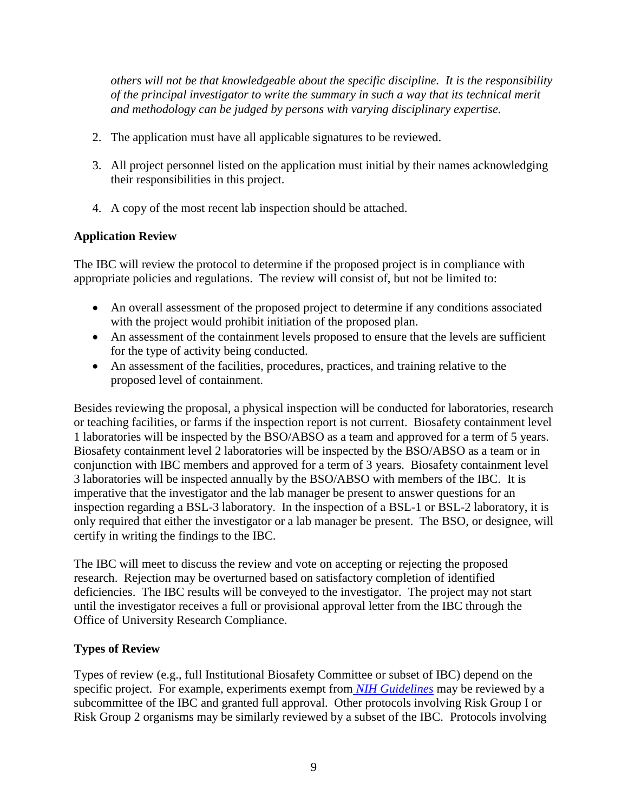*others will not be that knowledgeable about the specific discipline. It is the responsibility of the principal investigator to write the summary in such a way that its technical merit and methodology can be judged by persons with varying disciplinary expertise.*

- 2. The application must have all applicable signatures to be reviewed.
- 3. All project personnel listed on the application must initial by their names acknowledging their responsibilities in this project.
- 4. A copy of the most recent lab inspection should be attached.

## **Application Review**

The IBC will review the protocol to determine if the proposed project is in compliance with appropriate policies and regulations. The review will consist of, but not be limited to:

- An overall assessment of the proposed project to determine if any conditions associated with the project would prohibit initiation of the proposed plan.
- An assessment of the containment levels proposed to ensure that the levels are sufficient for the type of activity being conducted.
- An assessment of the facilities, procedures, practices, and training relative to the proposed level of containment.

Besides reviewing the proposal, a physical inspection will be conducted for laboratories, research or teaching facilities, or farms if the inspection report is not current. Biosafety containment level 1 laboratories will be inspected by the BSO/ABSO as a team and approved for a term of 5 years. Biosafety containment level 2 laboratories will be inspected by the BSO/ABSO as a team or in conjunction with IBC members and approved for a term of 3 years. Biosafety containment level 3 laboratories will be inspected annually by the BSO/ABSO with members of the IBC. It is imperative that the investigator and the lab manager be present to answer questions for an inspection regarding a BSL-3 laboratory. In the inspection of a BSL-1 or BSL-2 laboratory, it is only required that either the investigator or a lab manager be present. The BSO, or designee, will certify in writing the findings to the IBC.

The IBC will meet to discuss the review and vote on accepting or rejecting the proposed research. Rejection may be overturned based on satisfactory completion of identified deficiencies. The IBC results will be conveyed to the investigator. The project may not start until the investigator receives a full or provisional approval letter from the IBC through the Office of University Research Compliance.

### **Types of Review**

Types of review (e.g., full Institutional Biosafety Committee or subset of IBC) depend on the specific project. For example, experiments exempt from *[NIH Guidelines](http://osp.od.nih.gov/office-biotechnology-activities/biosafety/nih-guidelines)* may be reviewed by a subcommittee of the IBC and granted full approval. Other protocols involving Risk Group I or Risk Group 2 organisms may be similarly reviewed by a subset of the IBC. Protocols involving